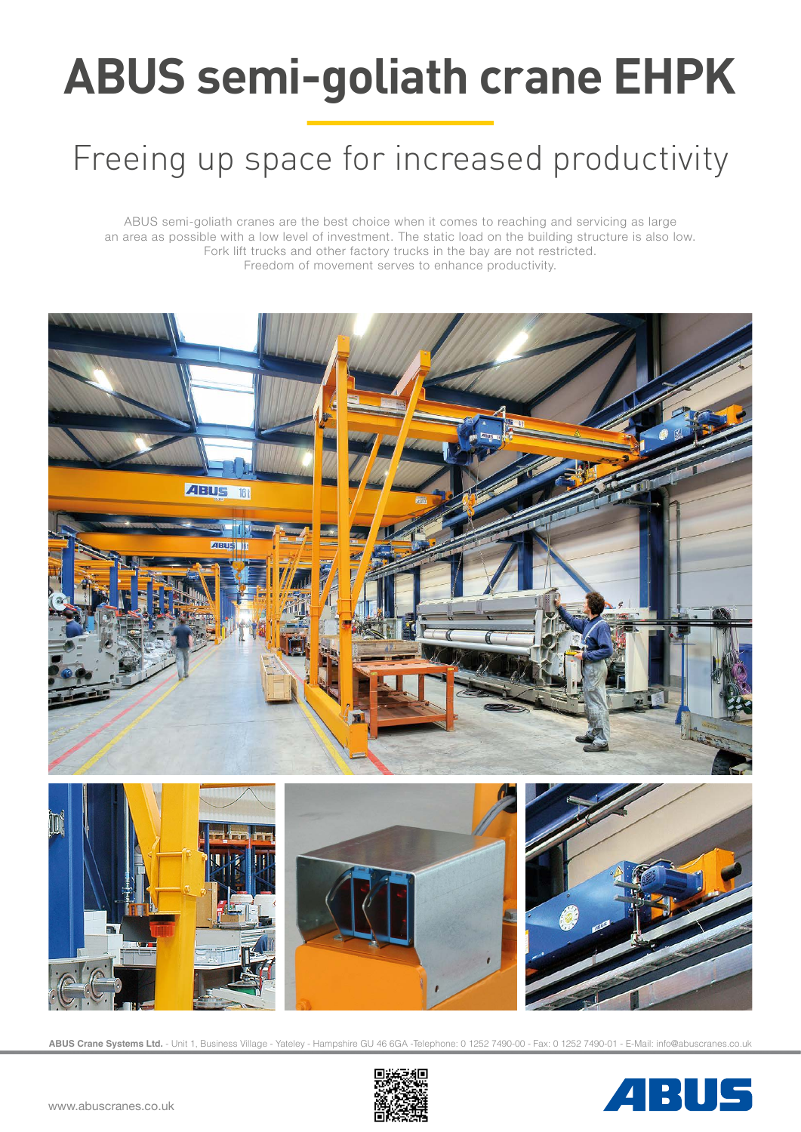# **ABUS semi-goliath crane EHPK**

# Freeing up space for increased productivity

ABUS semi-goliath cranes are the best choice when it comes to reaching and servicing as large an area as possible with a low level of investment. The static load on the building structure is also low. Fork lift trucks and other factory trucks in the bay are not restricted. Freedom of movement serves to enhance productivity.



**ABUS Crane Systems Ltd.** - Unit 1, Business Village - Yateley - Hampshire GU 46 6GA -Telephone: 0 1252 7490-00 - Fax: 0 1252 7490-01 - E-Mail: info@abuscranes.co.uk